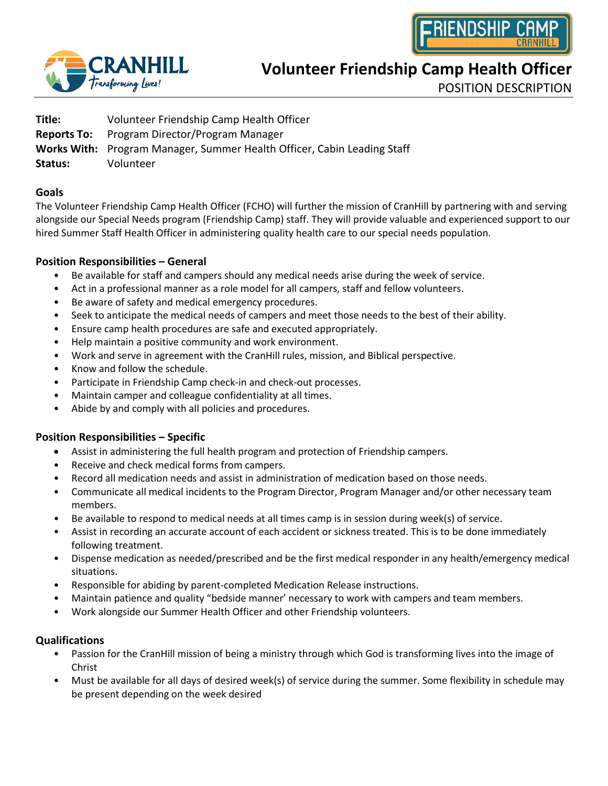



**Volunteer Friendship Camp Health Officer**

POSITION DESCRIPTION

| Title:             | Volunteer Friendship Camp Health Officer                                |
|--------------------|-------------------------------------------------------------------------|
| <b>Reports To:</b> | Program Director/Program Manager                                        |
|                    | Works With: Program Manager, Summer Health Officer, Cabin Leading Staff |
| Status:            | Volunteer                                                               |
|                    |                                                                         |

### **Goals**

The Volunteer Friendship Camp Health Officer (FCHO) will further the mission of CranHill by partnering with and serving alongside our Special Needs program (Friendship Camp) staff. They will provide valuable and experienced support to our hired Summer Staff Health Officer in administering quality health care to our special needs population.

### **Position Responsibilities – General**

- Be available for staff and campers should any medical needs arise during the week of service.
- Act in a professional manner as a role model for all campers, staff and fellow volunteers.
- Be aware of safety and medical emergency procedures.
- Seek to anticipate the medical needs of campers and meet those needs to the best of their ability.
- Ensure camp health procedures are safe and executed appropriately.
- Help maintain a positive community and work environment.
- Work and serve in agreement with the CranHill rules, mission, and Biblical perspective.
- Know and follow the schedule.
- Participate in Friendship Camp check-in and check-out processes.
- Maintain camper and colleague confidentiality at all times.
- Abide by and comply with all policies and procedures.

## **Position Responsibilities – Specific**

- Assist in administering the full health program and protection of Friendship campers.
- Receive and check medical forms from campers.
- Record all medication needs and assist in administration of medication based on those needs.
- Communicate all medical incidents to the Program Director, Program Manager and/or other necessary team members.
- Be available to respond to medical needs at all times camp is in session during week(s) of service.
- Assist in recording an accurate account of each accident or sickness treated. This is to be done immediately following treatment.
- Dispense medication as needed/prescribed and be the first medical responder in any health/emergency medical situations.
- Responsible for abiding by parent-completed Medication Release instructions.
- Maintain patience and quality "bedside manner' necessary to work with campers and team members.
- Work alongside our Summer Health Officer and other Friendship volunteers.

#### **Qualifications**

- Passion for the CranHill mission of being a ministry through which God is transforming lives into the image of Christ
- Must be available for all days of desired week(s) of service during the summer. Some flexibility in schedule may be present depending on the week desired